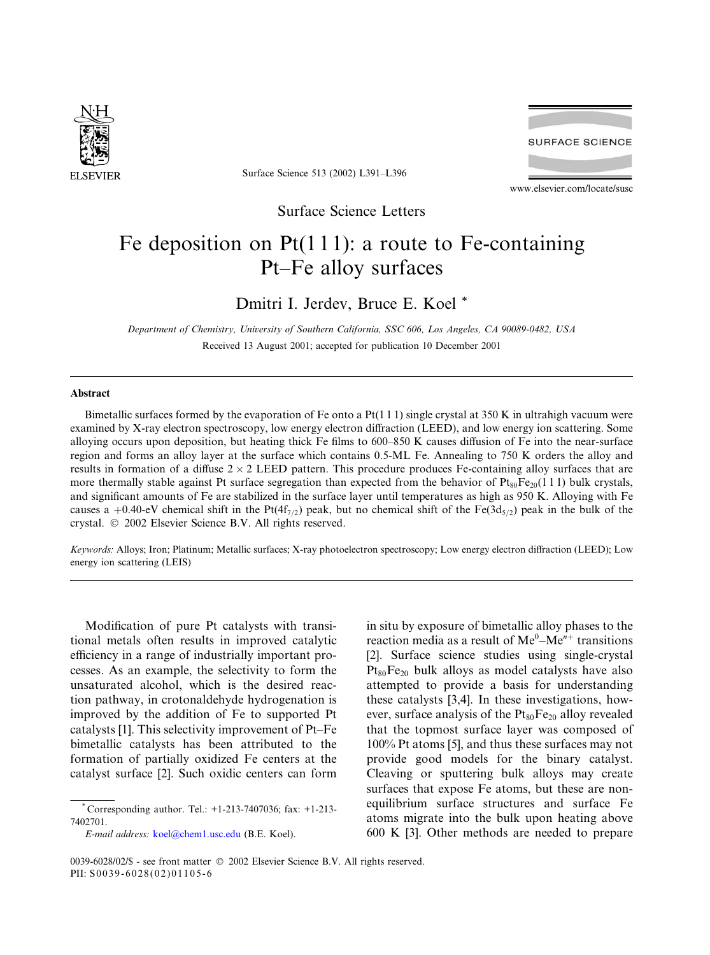

Surface Science 513 (2002) L391–L396

**SURFACE SCIENCE** 

www.elsevier.com/locate/susc

Surface Science Letters

# Fe deposition on  $Pt(111)$ : a route to Fe-containing Pt–Fe alloy surfaces

## Dmitri I. Jerdev, Bruce E. Koel \*

Department of Chemistry, University of Southern California, SSC 606, Los Angeles, CA 90089-0482, USA Received 13 August 2001; accepted for publication 10 December 2001

### Abstract

Bimetallic surfaces formed by the evaporation of Fe onto a  $Pt(1\ 1\ 1)$  single crystal at 350 K in ultrahigh vacuum were examined by X-ray electron spectroscopy, low energy electron diffraction (LEED), and low energy ion scattering. Some alloying occurs upon deposition, but heating thick Fe films to 600–850 K causes diffusion of Fe into the near-surface region and forms an alloy layer at the surface which contains 0.5-ML Fe. Annealing to 750 K orders the alloy and results in formation of a diffuse  $2 \times 2$  LEED pattern. This procedure produces Fe-containing alloy surfaces that are more thermally stable against Pt surface segregation than expected from the behavior of  $Pt_{80}Fe_{20}(111)$  bulk crystals, and significant amounts of Fe are stabilized in the surface layer until temperatures as high as 950 K. Alloying with Fe causes a +0.40-eV chemical shift in the Pt(4f<sub>7/2</sub>) peak, but no chemical shift of the Fe(3d<sub>5/2</sub>) peak in the bulk of the crystal.  $\oslash$  2002 Elsevier Science B.V. All rights reserved.

Keywords: Alloys; Iron; Platinum; Metallic surfaces; X-ray photoelectron spectroscopy; Low energy electron diffraction (LEED); Low energy ion scattering (LEIS)

Modification of pure Pt catalysts with transitional metals often results in improved catalytic efficiency in a range of industrially important processes. As an example, the selectivity to form the unsaturated alcohol, which is the desired reaction pathway, in crotonaldehyde hydrogenation is improved by the addition of Fe to supported Pt catalysts [1]. This selectivity improvement of Pt–Fe bimetallic catalysts has been attributed to the formation of partially oxidized Fe centers at the catalyst surface [2]. Such oxidic centers can form

E-mail address: [koel@chem1.usc.edu](mail to: koel@chem1.usc.edu) (B.E. Koel).

in situ by exposure of bimetallic alloy phases to the reaction media as a result of  $Me^{0}-Me^{n+}$  transitions [2]. Surface science studies using single-crystal  $Pt_{80}Fe_{20}$  bulk alloys as model catalysts have also attempted to provide a basis for understanding these catalysts [3,4]. In these investigations, however, surface analysis of the  $Pt_{80}Fe_{20}$  alloy revealed that the topmost surface layer was composed of 100% Pt atoms [5], and thus these surfaces may not provide good models for the binary catalyst. Cleaving or sputtering bulk alloys may create surfaces that expose Fe atoms, but these are nonequilibrium surface structures and surface Fe atoms migrate into the bulk upon heating above 600 K [3]. Other methods are needed to prepare

Corresponding author. Tel.: +1-213-7407036; fax: +1-213-7402701.

<sup>0039-6028/02/\$ -</sup> see front matter  $\odot$  2002 Elsevier Science B.V. All rights reserved. PII: S0039-6028(02)01105-6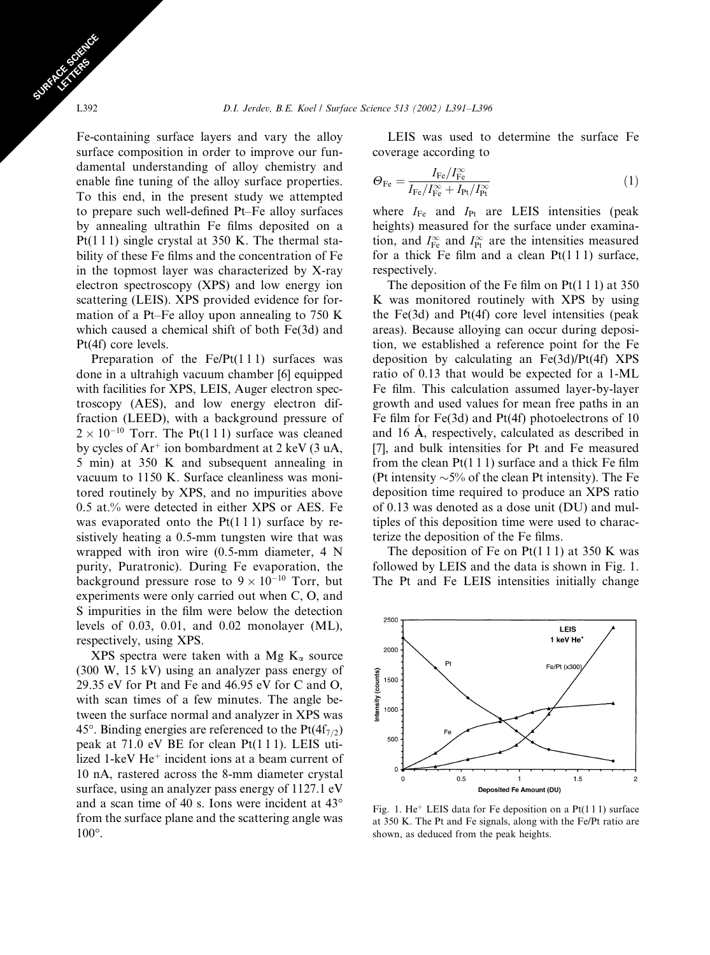Fe-containing surface layers and vary the alloy surface composition in order to improve our fundamental understanding of alloy chemistry and enable fine tuning of the alloy surface properties. To this end, in the present study we attempted to prepare such well-defined Pt–Fe alloy surfaces by annealing ultrathin Fe films deposited on a Pt(111) single crystal at 350 K. The thermal stability of these Fe films and the concentration of Fe in the topmost layer was characterized by X-ray electron spectroscopy (XPS) and low energy ion scattering (LEIS). XPS provided evidence for formation of a Pt–Fe alloy upon annealing to 750 K which caused a chemical shift of both Fe(3d) and Pt(4f) core levels.

Preparation of the  $Fe/Pt(111)$  surfaces was done in a ultrahigh vacuum chamber [6] equipped with facilities for XPS, LEIS, Auger electron spectroscopy (AES), and low energy electron diffraction (LEED), with a background pressure of  $2 \times 10^{-10}$  Torr. The Pt(111) surface was cleaned by cycles of  $Ar^+$  ion bombardment at 2 keV (3 uA, 5 min) at 350 K and subsequent annealing in vacuum to 1150 K. Surface cleanliness was monitored routinely by XPS, and no impurities above 0.5 at.% were detected in either XPS or AES. Fe was evaporated onto the  $Pt(111)$  surface by resistively heating a 0.5-mm tungsten wire that was wrapped with iron wire (0.5-mm diameter, 4 N purity, Puratronic). During Fe evaporation, the background pressure rose to  $9 \times 10^{-10}$  Torr, but experiments were only carried out when C, O, and S impurities in the film were below the detection levels of 0.03, 0.01, and 0.02 monolayer (ML), respectively, using XPS.

XPS spectra were taken with a Mg  $K_{\alpha}$  source (300 W, 15 kV) using an analyzer pass energy of 29.35 eV for Pt and Fe and 46.95 eV for C and O, with scan times of a few minutes. The angle between the surface normal and analyzer in XPS was 45°. Binding energies are referenced to the  $Pt(4f_{7/2})$ peak at 71.0 eV BE for clean Pt(1 1 1). LEIS utilized 1-keV  $He<sup>+</sup>$  incident ions at a beam current of 10 nA, rastered across the 8-mm diameter crystal surface, using an analyzer pass energy of 1127.1 eV and a scan time of 40 s. Ions were incident at  $43^{\circ}$ from the surface plane and the scattering angle was 100°.

LEIS was used to determine the surface Fe coverage according to

$$
\Theta_{\rm Fe} = \frac{I_{\rm Fe}/I_{\rm Fe}^{\infty}}{I_{\rm Fe}/I_{\rm Fe}^{\infty} + I_{\rm Pt}/I_{\rm Pt}^{\infty}}
$$
(1)

where  $I_{\text{Fe}}$  and  $I_{\text{Pt}}$  are LEIS intensities (peak heights) measured for the surface under examination, and  $I_{\text{Fe}}^{\infty}$  and  $I_{\text{Pt}}^{\infty}$  are the intensities measured for a thick Fe film and a clean  $Pt(1\ 1\ 1)$  surface, respectively.

The deposition of the Fe film on Pt(1 1 1) at 350 K was monitored routinely with XPS by using the Fe(3d) and Pt(4f) core level intensities (peak areas). Because alloying can occur during deposition, we established a reference point for the Fe deposition by calculating an Fe(3d)/Pt(4f) XPS ratio of 0.13 that would be expected for a 1-ML Fe film. This calculation assumed layer-by-layer growth and used values for mean free paths in an Fe film for Fe(3d) and Pt(4f) photoelectrons of 10 and 16 A, respectively, calculated as described in [7], and bulk intensities for Pt and Fe measured from the clean  $Pt(1 1 1)$  surface and a thick Fe film (Pt intensity  $\sim$  5% of the clean Pt intensity). The Fe deposition time required to produce an XPS ratio of 0.13 was denoted as a dose unit (DU) and multiples of this deposition time were used to characterize the deposition of the Fe films.

The deposition of Fe on  $Pt(111)$  at 350 K was followed by LEIS and the data is shown in Fig. 1. The Pt and Fe LEIS intensities initially change



Fig. 1. He<sup>+</sup> LEIS data for Fe deposition on a Pt(111) surface at 350 K. The Pt and Fe signals, along with the Fe/Pt ratio are shown, as deduced from the peak heights.

SURFACE SCIENCE CE STRES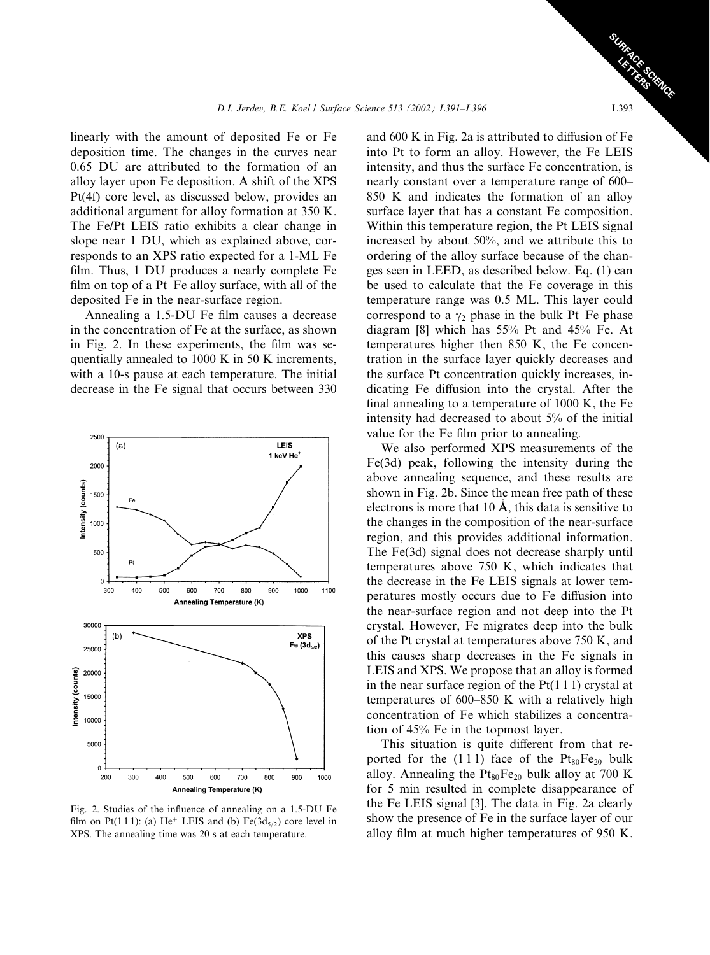linearly with the amount of deposited Fe or Fe deposition time. The changes in the curves near 0.65 DU are attributed to the formation of an alloy layer upon Fe deposition. A shift of the XPS Pt(4f) core level, as discussed below, provides an additional argument for alloy formation at 350 K. The Fe/Pt LEIS ratio exhibits a clear change in slope near 1 DU, which as explained above, corresponds to an XPS ratio expected for a 1-ML Fe film. Thus, 1 DU produces a nearly complete Fe film on top of a Pt–Fe alloy surface, with all of the deposited Fe in the near-surface region.

Annealing a 1.5-DU Fe film causes a decrease in the concentration of Fe at the surface, as shown in Fig. 2. In these experiments, the film was sequentially annealed to 1000 K in 50 K increments, with a 10-s pause at each temperature. The initial decrease in the Fe signal that occurs between 330



Fig. 2. Studies of the influence of annealing on a 1.5-DU Fe film on Pt(111): (a) He<sup>+</sup> LEIS and (b) Fe(3d<sub>5/2</sub>) core level in XPS. The annealing time was 20 s at each temperature.

and 600 K in Fig. 2a is attributed to diffusion of Fe into Pt to form an alloy. However, the Fe LEIS intensity, and thus the surface Fe concentration, is nearly constant over a temperature range of 600– 850 K and indicates the formation of an alloy surface layer that has a constant Fe composition. Within this temperature region, the Pt LEIS signal increased by about 50%, and we attribute this to ordering of the alloy surface because of the changes seen in LEED, as described below. Eq. (1) can be used to calculate that the Fe coverage in this temperature range was 0.5 ML. This layer could correspond to a  $\gamma_2$  phase in the bulk Pt–Fe phase diagram [8] which has 55% Pt and 45% Fe. At temperatures higher then 850 K, the Fe concentration in the surface layer quickly decreases and the surface Pt concentration quickly increases, indicating Fe diffusion into the crystal. After the final annealing to a temperature of 1000 K, the Fe intensity had decreased to about 5% of the initial value for the Fe film prior to annealing.

We also performed XPS measurements of the Fe(3d) peak, following the intensity during the above annealing sequence, and these results are shown in Fig. 2b. Since the mean free path of these electrons is more that 10  $\AA$ , this data is sensitive to the changes in the composition of the near-surface region, and this provides additional information. The Fe(3d) signal does not decrease sharply until temperatures above 750 K, which indicates that the decrease in the Fe LEIS signals at lower temperatures mostly occurs due to Fe diffusion into the near-surface region and not deep into the Pt crystal. However, Fe migrates deep into the bulk of the Pt crystal at temperatures above 750 K, and this causes sharp decreases in the Fe signals in LEIS and XPS. We propose that an alloy is formed in the near surface region of the  $Pt(1\ 1\ 1)$  crystal at temperatures of 600–850 K with a relatively high concentration of Fe which stabilizes a concentration of 45% Fe in the topmost layer.

This situation is quite different from that reported for the  $(111)$  face of the  $Pt_{80}Fe_{20}$  bulk alloy. Annealing the  $Pt_{80}Fe_{20}$  bulk alloy at 700 K for 5 min resulted in complete disappearance of the Fe LEIS signal [3]. The data in Fig. 2a clearly show the presence of Fe in the surface layer of our alloy film at much higher temperatures of 950 K.

SURFACE SCIENCE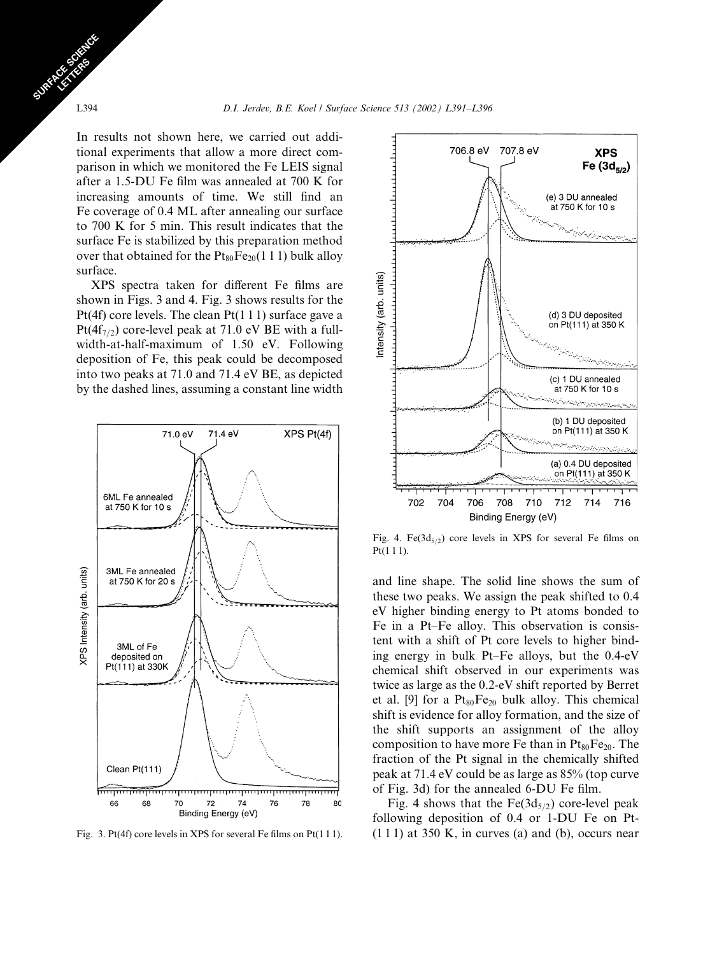In results not shown here, we carried out additional experiments that allow a more direct comparison in which we monitored the Fe LEIS signal after a 1.5-DU Fe film was annealed at 700 K for increasing amounts of time. We still find an Fe coverage of 0.4 ML after annealing our surface to 700 K for 5 min. This result indicates that the surface Fe is stabilized by this preparation method over that obtained for the  $Pt_{80}Fe_{20}(1\ 1\ 1)$  bulk alloy surface.

XPS spectra taken for different Fe films are shown in Figs. 3 and 4. Fig. 3 shows results for the Pt(4f) core levels. The clean Pt(1 1 1) surface gave a Pt( $4f_{7/2}$ ) core-level peak at 71.0 eV BE with a fullwidth-at-half-maximum of 1.50 eV. Following deposition of Fe, this peak could be decomposed into two peaks at 71.0 and 71.4 eV BE, as depicted by the dashed lines, assuming a constant line width





Fig. 4. Fe( $3d_{5/2}$ ) core levels in XPS for several Fe films on Pt(1 1 1).

and line shape. The solid line shows the sum of these two peaks. We assign the peak shifted to 0.4 eV higher binding energy to Pt atoms bonded to Fe in a Pt–Fe alloy. This observation is consistent with a shift of Pt core levels to higher binding energy in bulk Pt–Fe alloys, but the 0.4-eV chemical shift observed in our experiments was twice as large as the 0.2-eV shift reported by Berret et al. [9] for a  $Pt_{80}Fe_{20}$  bulk alloy. This chemical shift is evidence for alloy formation, and the size of the shift supports an assignment of the alloy composition to have more Fe than in  $Pt_{80}Fe_{20}$ . The fraction of the Pt signal in the chemically shifted peak at 71.4 eV could be as large as 85% (top curve of Fig. 3d) for the annealed 6-DU Fe film.

Fig. 4 shows that the  $Fe(3d_{5/2})$  core-level peak following deposition of 0.4 or 1-DU Fe on Pt-Fig. 3. Pt(4f) core levels in XPS for several Fe films on Pt(111). (111) at 350 K, in curves (a) and (b), occurs near

SURFACE SCIENCE CE STRES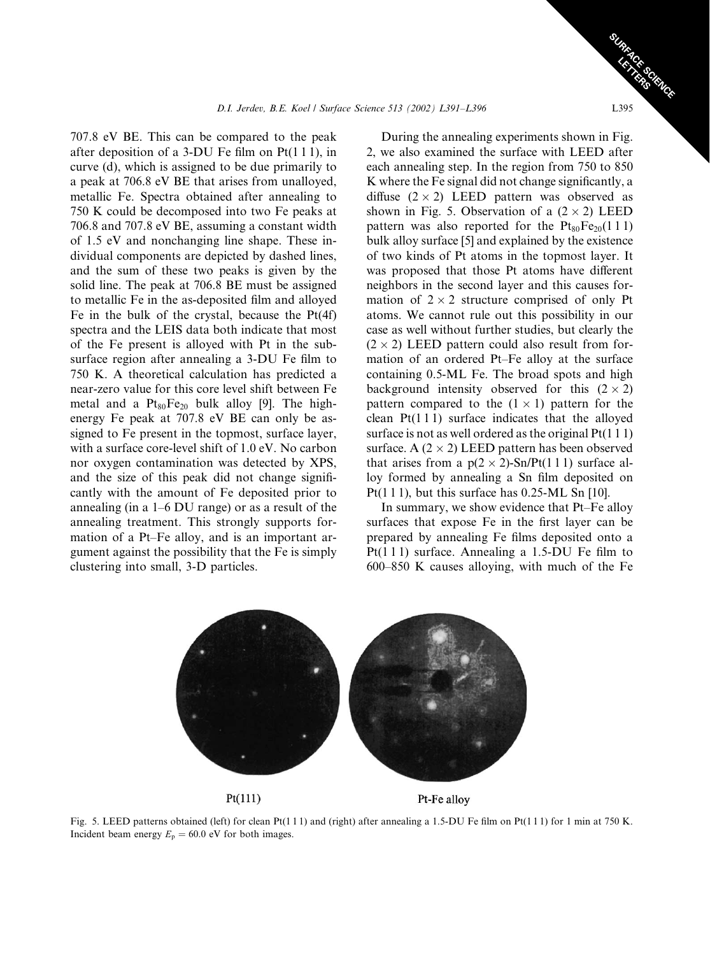707.8 eV BE. This can be compared to the peak after deposition of a 3-DU Fe film on Pt(1 1 1), in curve (d), which is assigned to be due primarily to a peak at 706.8 eV BE that arises from unalloyed, metallic Fe. Spectra obtained after annealing to 750 K could be decomposed into two Fe peaks at 706.8 and 707.8 eV BE, assuming a constant width of 1.5 eV and nonchanging line shape. These individual components are depicted by dashed lines, and the sum of these two peaks is given by the solid line. The peak at 706.8 BE must be assigned to metallic Fe in the as-deposited film and alloyed Fe in the bulk of the crystal, because the  $Pt(4f)$ spectra and the LEIS data both indicate that most of the Fe present is alloyed with Pt in the subsurface region after annealing a 3-DU Fe film to 750 K. A theoretical calculation has predicted a near-zero value for this core level shift between Fe metal and a  $Pt_{80}Fe_{20}$  bulk alloy [9]. The highenergy Fe peak at 707.8 eV BE can only be assigned to Fe present in the topmost, surface layer, with a surface core-level shift of 1.0 eV. No carbon nor oxygen contamination was detected by XPS, and the size of this peak did not change significantly with the amount of Fe deposited prior to annealing (in a 1–6 DU range) or as a result of the annealing treatment. This strongly supports formation of a Pt–Fe alloy, and is an important argument against the possibility that the Fe is simply clustering into small, 3-D particles.

During the annealing experiments shown in Fig. 2, we also examined the surface with LEED after each annealing step. In the region from 750 to 850 K where the Fe signal did not change significantly, a diffuse  $(2 \times 2)$  LEED pattern was observed as shown in Fig. 5. Observation of a  $(2 \times 2)$  LEED pattern was also reported for the  $Pt_{80}Fe_{20}(111)$ bulk alloy surface [5] and explained by the existence of two kinds of Pt atoms in the topmost layer. It was proposed that those Pt atoms have different neighbors in the second layer and this causes formation of  $2 \times 2$  structure comprised of only Pt atoms. We cannot rule out this possibility in our case as well without further studies, but clearly the  $(2 \times 2)$  LEED pattern could also result from formation of an ordered Pt–Fe alloy at the surface containing 0.5-ML Fe. The broad spots and high background intensity observed for this  $(2 \times 2)$ pattern compared to the  $(1 \times 1)$  pattern for the clean  $Pt(111)$  surface indicates that the alloyed surface is not as well ordered as the original  $Pt(1\ 1\ 1)$ surface. A  $(2 \times 2)$  LEED pattern has been observed that arises from a  $p(2 \times 2)$ -Sn/Pt(1 1 1) surface alloy formed by annealing a Sn film deposited on Pt(1 1 1), but this surface has  $0.25$ -ML Sn [10].

In summary, we show evidence that Pt–Fe alloy surfaces that expose Fe in the first layer can be prepared by annealing Fe films deposited onto a Pt(111) surface. Annealing a 1.5-DU Fe film to 600–850 K causes alloying, with much of the Fe





Pt-Fe alloy

Fig. 5. LEED patterns obtained (left) for clean Pt(1 1 1) and (right) after annealing a 1.5-DU Fe film on Pt(1 1 1) for 1 min at 750 K. Incident beam energy  $E_p = 60.0$  eV for both images.

SURFACE SCIENCE